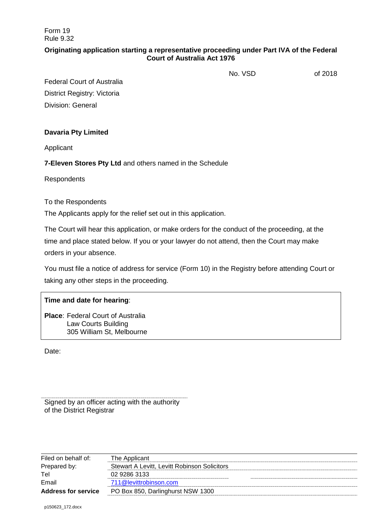Form 19 Rule 9.32

### **Originating application starting a representative proceeding under Part IVA of the Federal Court of Australia Act 1976**

No. VSD of 2018

Federal Court of Australia District Registry: Victoria Division: General

### **Davaria Pty Limited**

Applicant

**7-Eleven Stores Pty Ltd** and others named in the Schedule

**Respondents** 

### To the Respondents

The Applicants apply for the relief set out in this application.

The Court will hear this application, or make orders for the conduct of the proceeding, at the time and place stated below. If you or your lawyer do not attend, then the Court may make orders in your absence.

You must file a notice of address for service (Form 10) in the Registry before attending Court or taking any other steps in the proceeding.

### **Time and date for hearing**:

**Place**: Federal Court of Australia Law Courts Building 305 William St, Melbourne

Date:

Signed by an officer acting with the authority of the District Registrar

| Filed on behalf of:        | The Applicant                                |  |
|----------------------------|----------------------------------------------|--|
| Prepared by:               | Stewart A Levitt, Levitt Robinson Solicitors |  |
| Tel                        | 02 9286 3133                                 |  |
| Email                      | 711@levittrobinson.com                       |  |
| <b>Address for service</b> | PO Box 850, Darlinghurst NSW 1300            |  |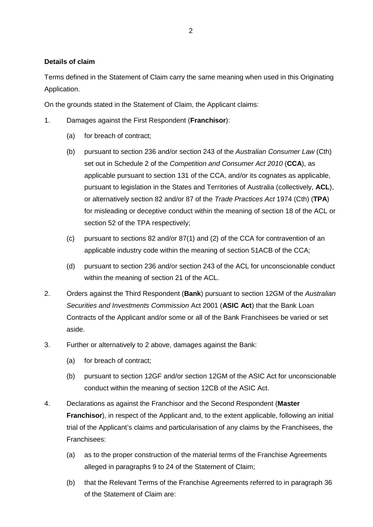### **Details of claim**

Terms defined in the Statement of Claim carry the same meaning when used in this Originating Application.

On the grounds stated in the Statement of Claim, the Applicant claims:

- 1. Damages against the First Respondent (**Franchisor**):
	- (a) for breach of contract;
	- (b) pursuant to section 236 and/or section 243 of the *Australian Consumer Law* (Cth) set out in Schedule 2 of the *Competition and Consumer Act 2010* (**CCA**), as applicable pursuant to section 131 of the CCA, and/or its cognates as applicable, pursuant to legislation in the States and Territories of Australia (collectively, **ACL**), or alternatively section 82 and/or 87 of the *Trade Practices Act* 1974 (Cth) (**TPA**) for misleading or deceptive conduct within the meaning of section 18 of the ACL or section 52 of the TPA respectively;
	- (c) pursuant to sections 82 and/or 87(1) and (2) of the CCA for contravention of an applicable industry code within the meaning of section 51ACB of the CCA;
	- (d) pursuant to section 236 and/or section 243 of the ACL for unconscionable conduct within the meaning of section 21 of the ACL.
- <span id="page-1-0"></span>2. Orders against the Third Respondent (**Bank**) pursuant to section 12GM of the *Australian Securities and Investments Commission* Act 2001 (**ASIC Act**) that the Bank Loan Contracts of the Applicant and/or some or all of the Bank Franchisees be varied or set aside.
- 3. Further or alternatively to [2](#page-1-0) above, damages against the Bank:
	- (a) for breach of contract;
	- (b) pursuant to section 12GF and/or section 12GM of the ASIC Act for unconscionable conduct within the meaning of section 12CB of the ASIC Act.
- 4. Declarations as against the Franchisor and the Second Respondent (**Master Franchisor**), in respect of the Applicant and, to the extent applicable, following an initial trial of the Applicant's claims and particularisation of any claims by the Franchisees, the Franchisees:
	- (a) as to the proper construction of the material terms of the Franchise Agreements alleged in paragraphs 9 to 24 of the Statement of Claim;
	- (b) that the Relevant Terms of the Franchise Agreements referred to in paragraph 36 of the Statement of Claim are: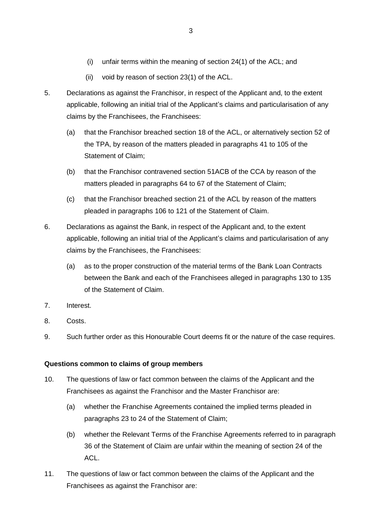- (i) unfair terms within the meaning of section 24(1) of the ACL; and
- (ii) void by reason of section 23(1) of the ACL.
- 5. Declarations as against the Franchisor, in respect of the Applicant and, to the extent applicable, following an initial trial of the Applicant's claims and particularisation of any claims by the Franchisees, the Franchisees:
	- (a) that the Franchisor breached section 18 of the ACL, or alternatively section 52 of the TPA, by reason of the matters pleaded in paragraphs 41 to 105 of the Statement of Claim;
	- (b) that the Franchisor contravened section 51ACB of the CCA by reason of the matters pleaded in paragraphs 64 to 67 of the Statement of Claim;
	- (c) that the Franchisor breached section 21 of the ACL by reason of the matters pleaded in paragraphs 106 to 121 of the Statement of Claim.
- 6. Declarations as against the Bank, in respect of the Applicant and, to the extent applicable, following an initial trial of the Applicant's claims and particularisation of any claims by the Franchisees, the Franchisees:
	- (a) as to the proper construction of the material terms of the Bank Loan Contracts between the Bank and each of the Franchisees alleged in paragraphs 130 to 135 of the Statement of Claim.
- 7. Interest.
- 8. Costs.
- 9. Such further order as this Honourable Court deems fit or the nature of the case requires.

## **Questions common to claims of group members**

- 10. The questions of law or fact common between the claims of the Applicant and the Franchisees as against the Franchisor and the Master Franchisor are:
	- (a) whether the Franchise Agreements contained the implied terms pleaded in paragraphs 23 to 24 of the Statement of Claim;
	- (b) whether the Relevant Terms of the Franchise Agreements referred to in paragraph 36 of the Statement of Claim are unfair within the meaning of section 24 of the ACL.
- 11. The questions of law or fact common between the claims of the Applicant and the Franchisees as against the Franchisor are: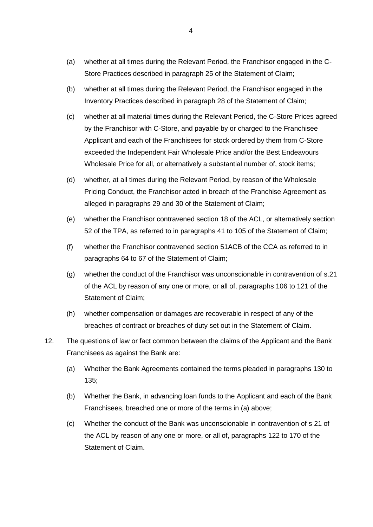- (a) whether at all times during the Relevant Period, the Franchisor engaged in the C-Store Practices described in paragraph 25 of the Statement of Claim;
- (b) whether at all times during the Relevant Period, the Franchisor engaged in the Inventory Practices described in paragraph 28 of the Statement of Claim;
- (c) whether at all material times during the Relevant Period, the C-Store Prices agreed by the Franchisor with C-Store, and payable by or charged to the Franchisee Applicant and each of the Franchisees for stock ordered by them from C-Store exceeded the Independent Fair Wholesale Price and/or the Best Endeavours Wholesale Price for all, or alternatively a substantial number of, stock items;
- (d) whether, at all times during the Relevant Period, by reason of the Wholesale Pricing Conduct, the Franchisor acted in breach of the Franchise Agreement as alleged in paragraphs 29 and 30 of the Statement of Claim;
- (e) whether the Franchisor contravened section 18 of the ACL, or alternatively section 52 of the TPA, as referred to in paragraphs 41 to 105 of the Statement of Claim;
- (f) whether the Franchisor contravened section 51ACB of the CCA as referred to in paragraphs 64 to 67 of the Statement of Claim;
- (g) whether the conduct of the Franchisor was unconscionable in contravention of s.21 of the ACL by reason of any one or more, or all of, paragraphs 106 to 121 of the Statement of Claim;
- (h) whether compensation or damages are recoverable in respect of any of the breaches of contract or breaches of duty set out in the Statement of Claim.
- 12. The questions of law or fact common between the claims of the Applicant and the Bank Franchisees as against the Bank are:
	- (a) Whether the Bank Agreements contained the terms pleaded in paragraphs 130 to 135;
	- (b) Whether the Bank, in advancing loan funds to the Applicant and each of the Bank Franchisees, breached one or more of the terms in (a) above;
	- (c) Whether the conduct of the Bank was unconscionable in contravention of s 21 of the ACL by reason of any one or more, or all of, paragraphs 122 to 170 of the Statement of Claim.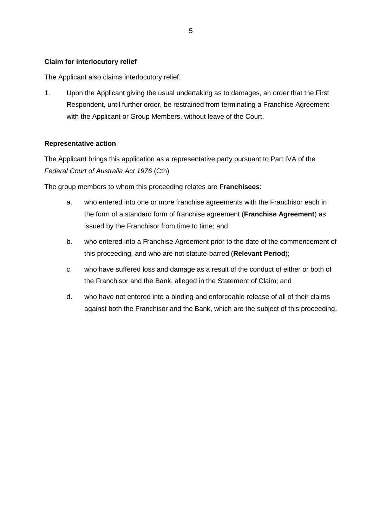### **Claim for interlocutory relief**

The Applicant also claims interlocutory relief.

1. Upon the Applicant giving the usual undertaking as to damages, an order that the First Respondent, until further order, be restrained from terminating a Franchise Agreement with the Applicant or Group Members, without leave of the Court.

### **Representative action**

The Applicant brings this application as a representative party pursuant to Part IVA of the *Federal Court of Australia Act 1976* (Cth)

The group members to whom this proceeding relates are **Franchisees**:

- a. who entered into one or more franchise agreements with the Franchisor each in the form of a standard form of franchise agreement (**Franchise Agreement**) as issued by the Franchisor from time to time; and
- b. who entered into a Franchise Agreement prior to the date of the commencement of this proceeding, and who are not statute-barred (**Relevant Period**);
- c. who have suffered loss and damage as a result of the conduct of either or both of the Franchisor and the Bank, alleged in the Statement of Claim; and
- d. who have not entered into a binding and enforceable release of all of their claims against both the Franchisor and the Bank, which are the subject of this proceeding.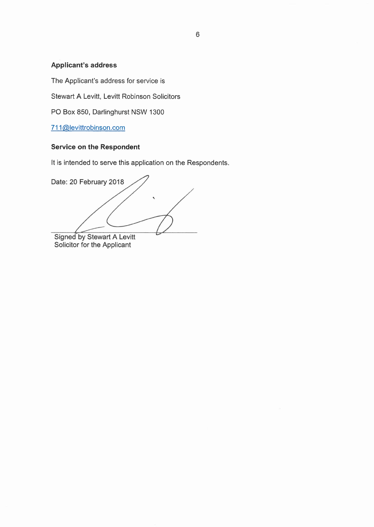# **Applicant's address**

The Applicant's address for service is

Stewart A Levitt, Levitt Robinson Solicitors

PO Box 850, Darlinghurst NSW 1300

[711@levittrobinson.com](mailto:711@levittrobinson.com)

### **Service on the Respondent**

It is intended to serve this application on the Respondents.

Date: 20 February 2018

Signed by Stewart A Levitt<br>Solicitor for the Applicant